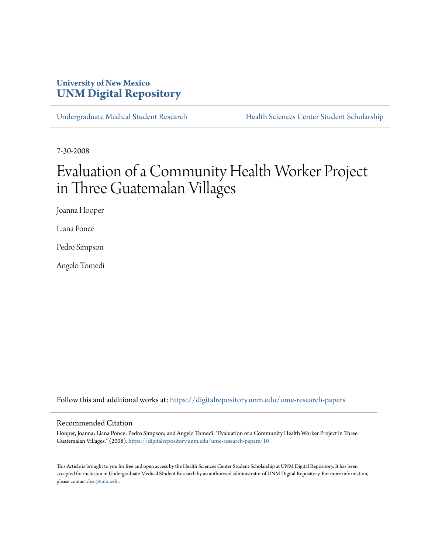## **University of New Mexico [UNM Digital Repository](https://digitalrepository.unm.edu?utm_source=digitalrepository.unm.edu%2Fume-research-papers%2F10&utm_medium=PDF&utm_campaign=PDFCoverPages)**

[Undergraduate Medical Student Research](https://digitalrepository.unm.edu/ume-research-papers?utm_source=digitalrepository.unm.edu%2Fume-research-papers%2F10&utm_medium=PDF&utm_campaign=PDFCoverPages) [Health Sciences Center Student Scholarship](https://digitalrepository.unm.edu/hsc-students?utm_source=digitalrepository.unm.edu%2Fume-research-papers%2F10&utm_medium=PDF&utm_campaign=PDFCoverPages)

7-30-2008

# Evaluation of a Community Health Worker Project in Three Guatemalan Villages

Joanna Hooper

Liana Ponce

Pedro Simpson

Angelo Tomedi

Follow this and additional works at: [https://digitalrepository.unm.edu/ume-research-papers](https://digitalrepository.unm.edu/ume-research-papers?utm_source=digitalrepository.unm.edu%2Fume-research-papers%2F10&utm_medium=PDF&utm_campaign=PDFCoverPages)

#### Recommended Citation

Hooper, Joanna; Liana Ponce; Pedro Simpson; and Angelo Tomedi. "Evaluation of a Community Health Worker Project in Three Guatemalan Villages." (2008). [https://digitalrepository.unm.edu/ume-research-papers/10](https://digitalrepository.unm.edu/ume-research-papers/10?utm_source=digitalrepository.unm.edu%2Fume-research-papers%2F10&utm_medium=PDF&utm_campaign=PDFCoverPages)

This Article is brought to you for free and open access by the Health Sciences Center Student Scholarship at UNM Digital Repository. It has been accepted for inclusion in Undergraduate Medical Student Research by an authorized administrator of UNM Digital Repository. For more information, please contact [disc@unm.edu.](mailto:disc@unm.edu)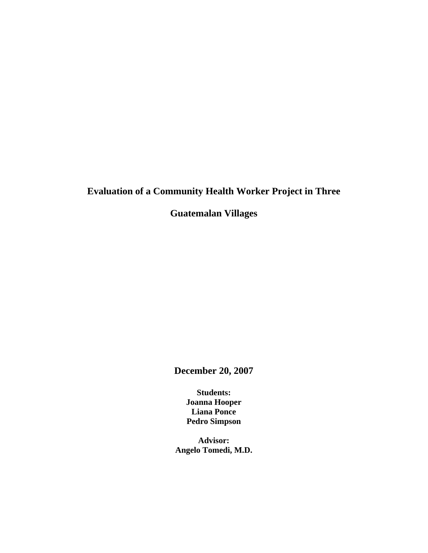## **Evaluation of a Community Health Worker Project in Three**

**Guatemalan Villages** 

**December 20, 2007** 

**Students: Joanna Hooper Liana Ponce Pedro Simpson** 

**Advisor: Angelo Tomedi, M.D.**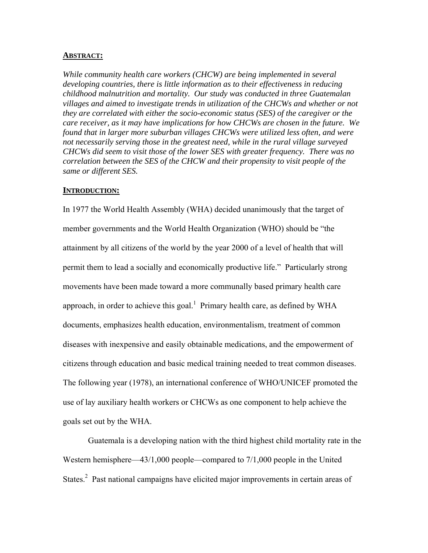#### **ABSTRACT:**

*While community health care workers (CHCW) are being implemented in several developing countries, there is little information as to their effectiveness in reducing childhood malnutrition and mortality. Our study was conducted in three Guatemalan villages and aimed to investigate trends in utilization of the CHCWs and whether or not they are correlated with either the socio-economic status (SES) of the caregiver or the care receiver, as it may have implications for how CHCWs are chosen in the future. We found that in larger more suburban villages CHCWs were utilized less often, and were not necessarily serving those in the greatest need, while in the rural village surveyed CHCWs did seem to visit those of the lower SES with greater frequency. There was no correlation between the SES of the CHCW and their propensity to visit people of the same or different SES.* 

#### **INTRODUCTION:**

In 1977 the World Health Assembly (WHA) decided unanimously that the target of member governments and the World Health Organization (WHO) should be "the attainment by all citizens of the world by the year 2000 of a level of health that will permit them to lead a socially and economically productive life." Particularly strong movements have been made toward a more communally based primary health care approach, in order to achieve this goal.<sup>1</sup> Primary health care, as defined by WHA documents, emphasizes health education, environmentalism, treatment of common diseases with inexpensive and easily obtainable medications, and the empowerment of citizens through education and basic medical training needed to treat common diseases. The following year (1978), an international conference of WHO/UNICEF promoted the use of lay auxiliary health workers or CHCWs as one component to help achieve the goals set out by the WHA.

Guatemala is a developing nation with the third highest child mortality rate in the Western hemisphere—43/1,000 people—compared to 7/1,000 people in the United States. $2$  Past national campaigns have elicited major improvements in certain areas of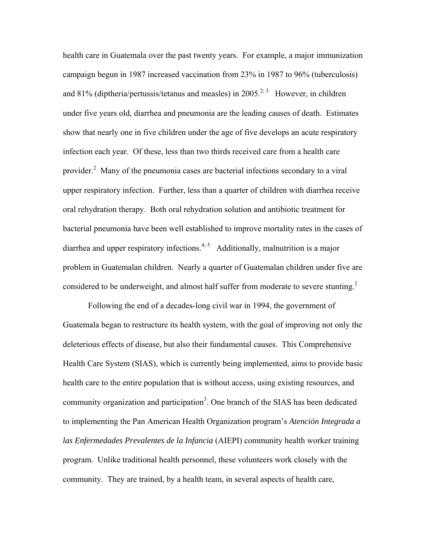health care in Guatemala over the past twenty years. For example, a major immunization campaign begun in 1987 increased vaccination from 23% in 1987 to 96% (tuberculosis) and 81% (diptheria/pertussis/tetanus and measles) in 2005.<sup>2; 3</sup> However, in children under five years old, diarrhea and pneumonia are the leading causes of death. Estimates show that nearly one in five children under the age of five develops an acute respiratory infection each year. Of these, less than two thirds received care from a health care provider.<sup>2</sup> Many of the pneumonia cases are bacterial infections secondary to a viral upper respiratory infection. Further, less than a quarter of children with diarrhea receive oral rehydration therapy. Both oral rehydration solution and antibiotic treatment for bacterial pneumonia have been well established to improve mortality rates in the cases of diarrhea and upper respiratory infections.<sup>4; 5</sup> Additionally, malnutrition is a major problem in Guatemalan children. Nearly a quarter of Guatemalan children under five are considered to be underweight, and almost half suffer from moderate to severe stunting.<sup>2</sup>

Following the end of a decades-long civil war in 1994, the government of Guatemala began to restructure its health system, with the goal of improving not only the deleterious effects of disease, but also their fundamental causes. This Comprehensive Health Care System (SIAS), which is currently being implemented, aims to provide basic health care to the entire population that is without access, using existing resources, and community organization and participation<sup>3</sup>. One branch of the SIAS has been dedicated to implementing the Pan American Health Organization program's *Atención Integrada a las Enfermedades Prevalentes de la Infancia* (AIEPI) community health worker training program*.* Unlike traditional health personnel, these volunteers work closely with the community. They are trained, by a health team, in several aspects of health care,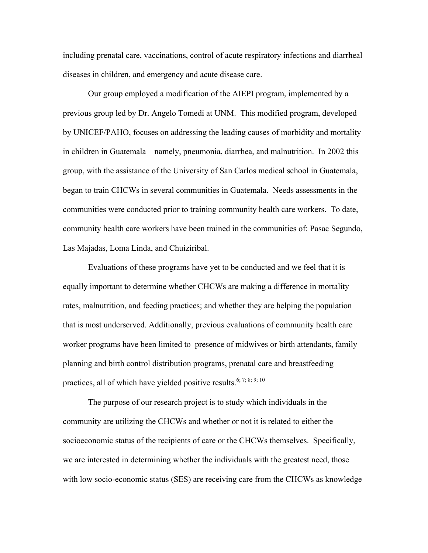including prenatal care, vaccinations, control of acute respiratory infections and diarrheal diseases in children, and emergency and acute disease care.

Our group employed a modification of the AIEPI program, implemented by a previous group led by Dr. Angelo Tomedi at UNM. This modified program, developed by UNICEF/PAHO, focuses on addressing the leading causes of morbidity and mortality in children in Guatemala – namely, pneumonia, diarrhea, and malnutrition. In 2002 this group, with the assistance of the University of San Carlos medical school in Guatemala, began to train CHCWs in several communities in Guatemala. Needs assessments in the communities were conducted prior to training community health care workers. To date, community health care workers have been trained in the communities of: Pasac Segundo, Las Majadas, Loma Linda, and Chuiziribal.

Evaluations of these programs have yet to be conducted and we feel that it is equally important to determine whether CHCWs are making a difference in mortality rates, malnutrition, and feeding practices; and whether they are helping the population that is most underserved. Additionally, previous evaluations of community health care worker programs have been limited to presence of midwives or birth attendants, family planning and birth control distribution programs, prenatal care and breastfeeding practices, all of which have yielded positive results.<sup>6; 7; 8; 9; 10</sup>

The purpose of our research project is to study which individuals in the community are utilizing the CHCWs and whether or not it is related to either the socioeconomic status of the recipients of care or the CHCWs themselves. Specifically, we are interested in determining whether the individuals with the greatest need, those with low socio-economic status (SES) are receiving care from the CHCWs as knowledge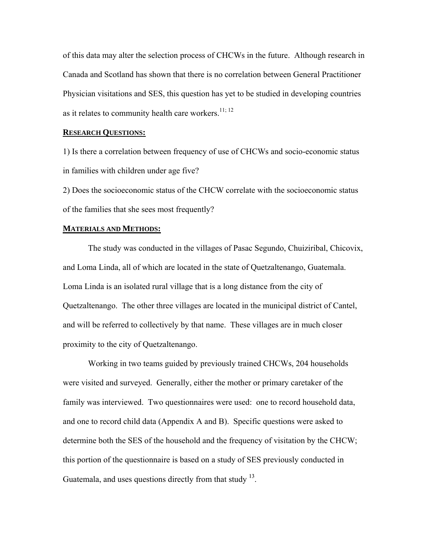of this data may alter the selection process of CHCWs in the future. Although research in Canada and Scotland has shown that there is no correlation between General Practitioner Physician visitations and SES, this question has yet to be studied in developing countries as it relates to community health care workers.<sup>11; 12</sup>

#### **RESEARCH QUESTIONS:**

1) Is there a correlation between frequency of use of CHCWs and socio-economic status in families with children under age five?

2) Does the socioeconomic status of the CHCW correlate with the socioeconomic status of the families that she sees most frequently?

#### **MATERIALS AND METHODS:**

The study was conducted in the villages of Pasac Segundo, Chuiziribal, Chicovix, and Loma Linda, all of which are located in the state of Quetzaltenango, Guatemala. Loma Linda is an isolated rural village that is a long distance from the city of Quetzaltenango. The other three villages are located in the municipal district of Cantel, and will be referred to collectively by that name. These villages are in much closer proximity to the city of Quetzaltenango.

Working in two teams guided by previously trained CHCWs, 204 households were visited and surveyed. Generally, either the mother or primary caretaker of the family was interviewed. Two questionnaires were used: one to record household data, and one to record child data (Appendix A and B). Specific questions were asked to determine both the SES of the household and the frequency of visitation by the CHCW; this portion of the questionnaire is based on a study of SES previously conducted in Guatemala, and uses questions directly from that study  $^{13}$ .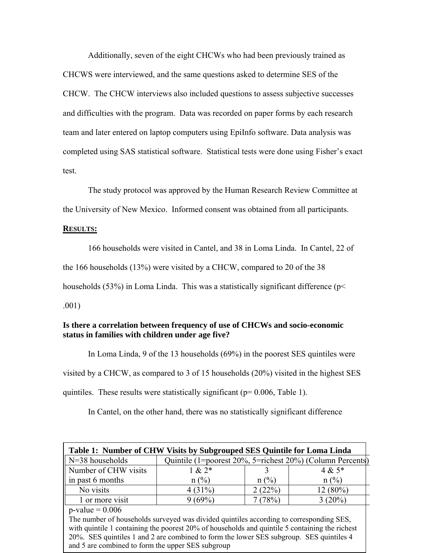Additionally, seven of the eight CHCWs who had been previously trained as CHCWS were interviewed, and the same questions asked to determine SES of the CHCW. The CHCW interviews also included questions to assess subjective successes and difficulties with the program. Data was recorded on paper forms by each research team and later entered on laptop computers using EpiInfo software. Data analysis was completed using SAS statistical software. Statistical tests were done using Fisher's exact test.

The study protocol was approved by the Human Research Review Committee at the University of New Mexico. Informed consent was obtained from all participants.

#### **RESULTS:**

166 households were visited in Cantel, and 38 in Loma Linda. In Cantel, 22 of

the 166 households (13%) were visited by a CHCW, compared to 20 of the 38

households (53%) in Loma Linda. This was a statistically significant difference (p<

.001)

### **Is there a correlation between frequency of use of CHCWs and socio-economic status in families with children under age five?**

In Loma Linda, 9 of the 13 households (69%) in the poorest SES quintiles were visited by a CHCW, as compared to 3 of 15 households (20%) visited in the highest SES quintiles. These results were statistically significant ( $p= 0.006$ , Table 1).

In Cantel, on the other hand, there was no statistically significant difference

| Table 1: Number of CHW Visits by Subgrouped SES Quintile for Loma Linda                        |                                                           |         |            |  |  |
|------------------------------------------------------------------------------------------------|-----------------------------------------------------------|---------|------------|--|--|
| N=38 households                                                                                | Quintile (1=poorest 20%, 5=richest 20%) (Column Percents) |         |            |  |  |
| Number of CHW visits                                                                           | $1 & 2*$                                                  |         | $4 & 5*$   |  |  |
| in past 6 months                                                                               | $n$ (%)                                                   | $n$ (%) | $n$ (%)    |  |  |
| No visits                                                                                      | 4(31%)                                                    | 2(22%)  | $12(80\%)$ |  |  |
| 1 or more visit                                                                                | $9(69\%)$                                                 | 7(78%)  | $3(20\%)$  |  |  |
| $p$ -value = 0.006                                                                             |                                                           |         |            |  |  |
| The number of households surveyed was divided quintiles according to corresponding SES,        |                                                           |         |            |  |  |
| with quintile 1 containing the poorest 20% of households and quintile 5 containing the richest |                                                           |         |            |  |  |
| 20%. SES quintiles 1 and 2 are combined to form the lower SES subgroup. SES quintiles 4        |                                                           |         |            |  |  |
| and 5 are combined to form the upper SES subgroup                                              |                                                           |         |            |  |  |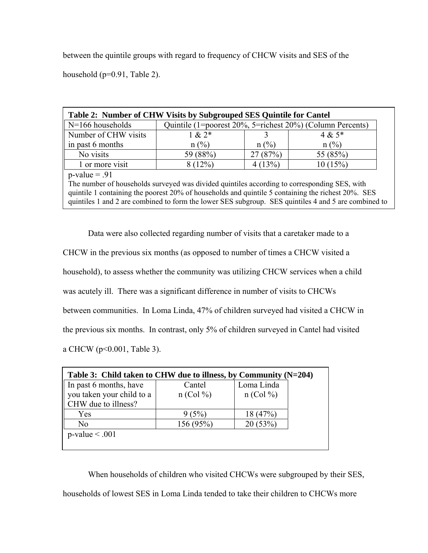between the quintile groups with regard to frequency of CHCW visits and SES of the

household (p=0.91, Table 2).

| Table 2: Number of CHW Visits by Subgrouped SES Quintile for Cantel                                |                                                           |          |                                                                                                      |  |  |
|----------------------------------------------------------------------------------------------------|-----------------------------------------------------------|----------|------------------------------------------------------------------------------------------------------|--|--|
| $N=166$ households                                                                                 | Quintile (1=poorest 20%, 5=richest 20%) (Column Percents) |          |                                                                                                      |  |  |
| Number of CHW visits                                                                               | $1 & 2*$                                                  |          | $4 & 5*$                                                                                             |  |  |
| in past 6 months                                                                                   | $n$ (%)                                                   | $n (\%)$ | $n$ (%)                                                                                              |  |  |
| No visits                                                                                          | 59 (88%)                                                  | 27(87%)  | 55 (85%)                                                                                             |  |  |
| 1 or more visit                                                                                    | 8(12%)                                                    | 4(13%)   | 10(15%)                                                                                              |  |  |
| $p-value = .91$                                                                                    |                                                           |          |                                                                                                      |  |  |
| The number of households surveyed was divided quintiles according to corresponding SES, with       |                                                           |          |                                                                                                      |  |  |
| quintile 1 containing the poorest 20% of households and quintile 5 containing the richest 20%. SES |                                                           |          |                                                                                                      |  |  |
|                                                                                                    |                                                           |          | quintiles 1 and 2 are combined to form the lower SES subgroup. SES quintiles 4 and 5 are combined to |  |  |

 Data were also collected regarding number of visits that a caretaker made to a CHCW in the previous six months (as opposed to number of times a CHCW visited a household), to assess whether the community was utilizing CHCW services when a child was acutely ill. There was a significant difference in number of visits to CHCWs between communities. In Loma Linda, 47% of children surveyed had visited a CHCW in the previous six months. In contrast, only 5% of children surveyed in Cantel had visited a CHCW (p<0.001, Table 3).

| Table 3: Child taken to CHW due to illness, by Community $(N=204)$<br>In past 6 months, have | Cantel      | Loma Linda  |
|----------------------------------------------------------------------------------------------|-------------|-------------|
| you taken your child to a                                                                    | $n$ (Col %) | $n$ (Col %) |
| CHW due to illness?                                                                          |             |             |
| Yes                                                                                          | 9(5%)       | 18(47%)     |
| N <sub>0</sub>                                                                               | 156 (95%)   | 20(53%)     |
| $p$ -value < .001                                                                            |             |             |

 When households of children who visited CHCWs were subgrouped by their SES, households of lowest SES in Loma Linda tended to take their children to CHCWs more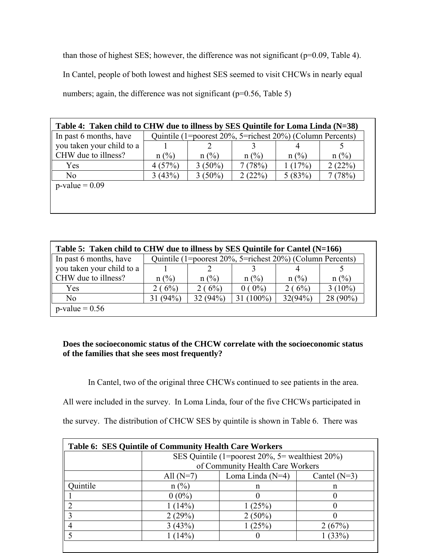than those of highest SES; however, the difference was not significant (p=0.09, Table 4). In Cantel, people of both lowest and highest SES seemed to visit CHCWs in nearly equal numbers; again, the difference was not significant ( $p=0.56$ , Table 5)

| Table 4: Taken child to CHW due to illness by SES Quintile for Loma Linda (N=38) |                                                           |           |         |         |                |
|----------------------------------------------------------------------------------|-----------------------------------------------------------|-----------|---------|---------|----------------|
| In past 6 months, have                                                           | Quintile (1=poorest 20%, 5=richest 20%) (Column Percents) |           |         |         |                |
| you taken your child to a                                                        |                                                           |           |         |         |                |
| CHW due to illness?                                                              | $n$ (%)                                                   | $n$ (%)   | $n$ (%) | $n$ (%) | $n(^{0}/_{0})$ |
| Yes                                                                              | 4(57%)                                                    | $3(50\%)$ | 7(78%)  | 1(17%)  | 2(22%)         |
| N <sub>0</sub>                                                                   | 3(43%)                                                    | $3(50\%)$ | 2(22%)  | 5(83%)  | (78%)          |
| $p-value = 0.09$                                                                 |                                                           |           |         |         |                |
|                                                                                  |                                                           |           |         |         |                |
|                                                                                  |                                                           |           |         |         |                |

| Table 5: Taken child to CHW due to illness by SES Quintile for Cantel (N=166) |                                                           |         |           |         |                |
|-------------------------------------------------------------------------------|-----------------------------------------------------------|---------|-----------|---------|----------------|
| In past 6 months, have                                                        | Quintile (1=poorest 20%, 5=richest 20%) (Column Percents) |         |           |         |                |
| you taken your child to a                                                     |                                                           |         |           |         |                |
| $\parallel$ CHW due to illness?                                               | $n$ (%)                                                   | $n$ (%) | $n$ (%)   | $n$ (%) | $n(^{0}/_{0})$ |
| Yes                                                                           | 2(6%)                                                     | 2(6%)   | $0(0\%)$  | 2(6%)   | $3(10\%)$      |
| No.                                                                           | 31(94%)                                                   | 32(94%) | $(100\%)$ | 32(94%) | 28 (90%)       |
| $p$ -value = 0.56                                                             |                                                           |         |           |         |                |

## **Does the socioeconomic status of the CHCW correlate with the socioeconomic status of the families that she sees most frequently?**

In Cantel, two of the original three CHCWs continued to see patients in the area.

All were included in the survey. In Loma Linda, four of the five CHCWs participated in

the survey. The distribution of CHCW SES by quintile is shown in Table 6. There was

| <b>Table 6: SES Quintile of Community Health Care Workers</b> |             |                                                         |        |  |  |  |  |
|---------------------------------------------------------------|-------------|---------------------------------------------------------|--------|--|--|--|--|
|                                                               |             | SES Quintile (1=poorest $20\%$ , 5= wealthiest $20\%$ ) |        |  |  |  |  |
|                                                               |             | of Community Health Care Workers                        |        |  |  |  |  |
|                                                               | All $(N=7)$ | Loma Linda $(N=4)$<br>Cantel $(N=3)$                    |        |  |  |  |  |
| Ouintile                                                      | n(%)        | n                                                       | n      |  |  |  |  |
|                                                               | $0(0\%)$    |                                                         |        |  |  |  |  |
|                                                               | (14%)       | (25%)                                                   |        |  |  |  |  |
|                                                               | $2(29\%$    | $(50\%)$                                                |        |  |  |  |  |
|                                                               | 3(43%)      | (25%)                                                   | 2(67%) |  |  |  |  |
|                                                               | (14%        |                                                         | (33%)  |  |  |  |  |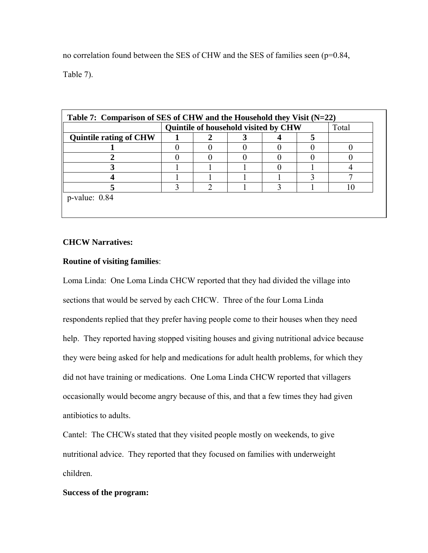no correlation found between the SES of CHW and the SES of families seen (p=0.84, Table 7).

|                               | Quintile of household visited by CHW |  |  |  | Total |  |
|-------------------------------|--------------------------------------|--|--|--|-------|--|
| <b>Quintile rating of CHW</b> |                                      |  |  |  |       |  |
|                               |                                      |  |  |  |       |  |
|                               |                                      |  |  |  |       |  |
|                               |                                      |  |  |  |       |  |
|                               |                                      |  |  |  |       |  |
|                               |                                      |  |  |  |       |  |

### **CHCW Narratives:**

### **Routine of visiting families**:

Loma Linda: One Loma Linda CHCW reported that they had divided the village into sections that would be served by each CHCW. Three of the four Loma Linda respondents replied that they prefer having people come to their houses when they need help. They reported having stopped visiting houses and giving nutritional advice because they were being asked for help and medications for adult health problems, for which they did not have training or medications. One Loma Linda CHCW reported that villagers occasionally would become angry because of this, and that a few times they had given antibiotics to adults.

Cantel: The CHCWs stated that they visited people mostly on weekends, to give nutritional advice. They reported that they focused on families with underweight children.

#### **Success of the program:**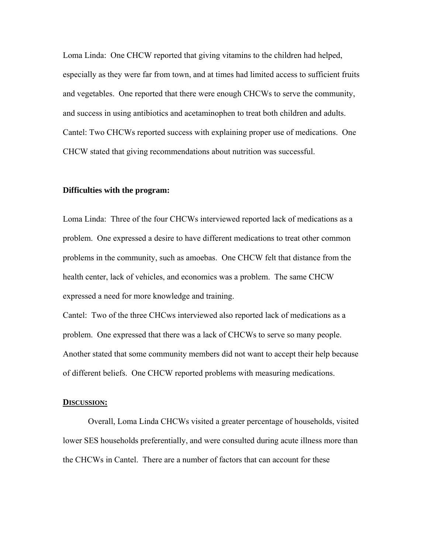Loma Linda: One CHCW reported that giving vitamins to the children had helped, especially as they were far from town, and at times had limited access to sufficient fruits and vegetables. One reported that there were enough CHCWs to serve the community, and success in using antibiotics and acetaminophen to treat both children and adults. Cantel: Two CHCWs reported success with explaining proper use of medications. One CHCW stated that giving recommendations about nutrition was successful.

#### **Difficulties with the program:**

Loma Linda: Three of the four CHCWs interviewed reported lack of medications as a problem. One expressed a desire to have different medications to treat other common problems in the community, such as amoebas. One CHCW felt that distance from the health center, lack of vehicles, and economics was a problem. The same CHCW expressed a need for more knowledge and training.

Cantel: Two of the three CHCws interviewed also reported lack of medications as a problem. One expressed that there was a lack of CHCWs to serve so many people. Another stated that some community members did not want to accept their help because of different beliefs. One CHCW reported problems with measuring medications.

#### **DISCUSSION:**

 Overall, Loma Linda CHCWs visited a greater percentage of households, visited lower SES households preferentially, and were consulted during acute illness more than the CHCWs in Cantel. There are a number of factors that can account for these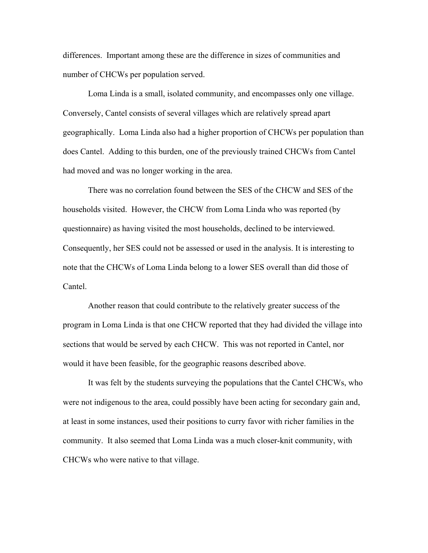differences. Important among these are the difference in sizes of communities and number of CHCWs per population served.

 Loma Linda is a small, isolated community, and encompasses only one village. Conversely, Cantel consists of several villages which are relatively spread apart geographically. Loma Linda also had a higher proportion of CHCWs per population than does Cantel. Adding to this burden, one of the previously trained CHCWs from Cantel had moved and was no longer working in the area.

There was no correlation found between the SES of the CHCW and SES of the households visited. However, the CHCW from Loma Linda who was reported (by questionnaire) as having visited the most households, declined to be interviewed. Consequently, her SES could not be assessed or used in the analysis. It is interesting to note that the CHCWs of Loma Linda belong to a lower SES overall than did those of Cantel.

 Another reason that could contribute to the relatively greater success of the program in Loma Linda is that one CHCW reported that they had divided the village into sections that would be served by each CHCW. This was not reported in Cantel, nor would it have been feasible, for the geographic reasons described above.

 It was felt by the students surveying the populations that the Cantel CHCWs, who were not indigenous to the area, could possibly have been acting for secondary gain and, at least in some instances, used their positions to curry favor with richer families in the community. It also seemed that Loma Linda was a much closer-knit community, with CHCWs who were native to that village.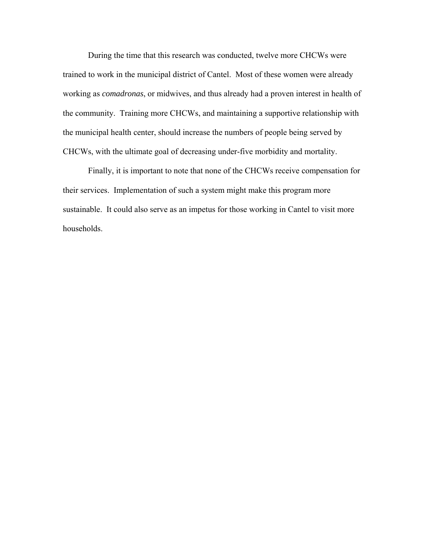During the time that this research was conducted, twelve more CHCWs were trained to work in the municipal district of Cantel. Most of these women were already working as *comadronas*, or midwives, and thus already had a proven interest in health of the community. Training more CHCWs, and maintaining a supportive relationship with the municipal health center, should increase the numbers of people being served by CHCWs, with the ultimate goal of decreasing under-five morbidity and mortality.

 Finally, it is important to note that none of the CHCWs receive compensation for their services. Implementation of such a system might make this program more sustainable. It could also serve as an impetus for those working in Cantel to visit more households.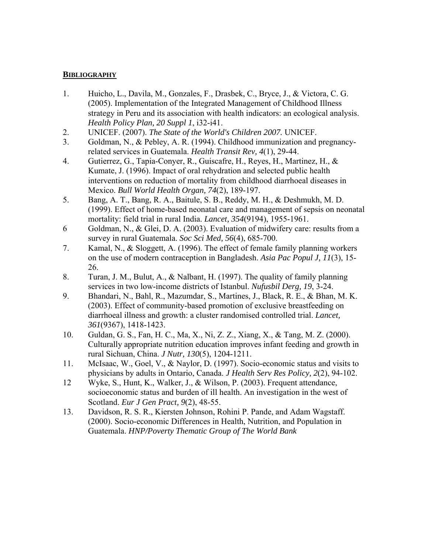### **BIBLIOGRAPHY**

- 1. Huicho, L., Davila, M., Gonzales, F., Drasbek, C., Bryce, J., & Victora, C. G. (2005). Implementation of the Integrated Management of Childhood Illness strategy in Peru and its association with health indicators: an ecological analysis. *Health Policy Plan, 20 Suppl 1*, i32-i41.
- 2. UNICEF. (2007). *The State of the World's Children 2007.* UNICEF.
- 3. Goldman, N., & Pebley, A. R. (1994). Childhood immunization and pregnancyrelated services in Guatemala. *Health Transit Rev, 4*(1), 29-44.
- 4. Gutierrez, G., Tapia-Conyer, R., Guiscafre, H., Reyes, H., Martinez, H., & Kumate, J. (1996). Impact of oral rehydration and selected public health interventions on reduction of mortality from childhood diarrhoeal diseases in Mexico. *Bull World Health Organ, 74*(2), 189-197.
- 5. Bang, A. T., Bang, R. A., Baitule, S. B., Reddy, M. H., & Deshmukh, M. D. (1999). Effect of home-based neonatal care and management of sepsis on neonatal mortality: field trial in rural India. *Lancet, 354*(9194), 1955-1961.
- 6 Goldman, N., & Glei, D. A. (2003). Evaluation of midwifery care: results from a survey in rural Guatemala. *Soc Sci Med, 56*(4), 685-700.
- 7. Kamal, N., & Sloggett, A. (1996). The effect of female family planning workers on the use of modern contraception in Bangladesh. *Asia Pac Popul J, 11*(3), 15- 26.
- 8. Turan, J. M., Bulut, A., & Nalbant, H. (1997). The quality of family planning services in two low-income districts of Istanbul. *Nufusbil Derg, 19*, 3-24.
- 9. Bhandari, N., Bahl, R., Mazumdar, S., Martines, J., Black, R. E., & Bhan, M. K. (2003). Effect of community-based promotion of exclusive breastfeeding on diarrhoeal illness and growth: a cluster randomised controlled trial. *Lancet, 361*(9367), 1418-1423.
- 10. Guldan, G. S., Fan, H. C., Ma, X., Ni, Z. Z., Xiang, X., & Tang, M. Z. (2000). Culturally appropriate nutrition education improves infant feeding and growth in rural Sichuan, China. *J Nutr, 130*(5), 1204-1211.
- 11. McIsaac, W., Goel, V., & Naylor, D. (1997). Socio-economic status and visits to physicians by adults in Ontario, Canada. *J Health Serv Res Policy, 2*(2), 94-102.
- 12 Wyke, S., Hunt, K., Walker, J., & Wilson, P. (2003). Frequent attendance, socioeconomic status and burden of ill health. An investigation in the west of Scotland. *Eur J Gen Pract, 9*(2), 48-55.
- 13. Davidson, R. S. R., Kiersten Johnson, Rohini P. Pande, and Adam Wagstaff. (2000). Socio-economic Differences in Health, Nutrition, and Population in Guatemala. *HNP/Poverty Thematic Group of The World Bank*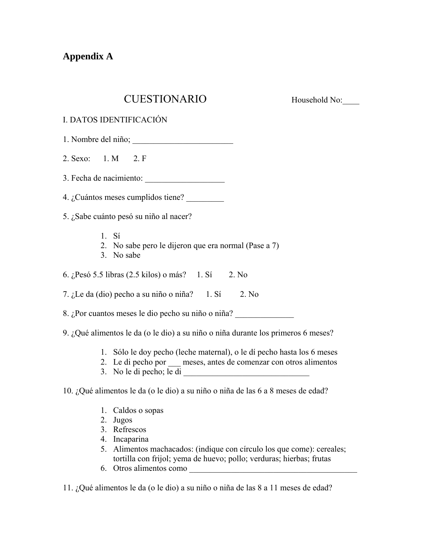## **Appendix A**

## CUESTIONARIO Household No:

| I. DATOS IDENTIFICACIÓN                                                                                                                      |
|----------------------------------------------------------------------------------------------------------------------------------------------|
|                                                                                                                                              |
| 2. Sexo: 1. M 2. F                                                                                                                           |
| 3. Fecha de nacimiento:                                                                                                                      |
| 4. ¿Cuántos meses cumplidos tiene?                                                                                                           |
| 5. ¿Sabe cuánto pesó su niño al nacer?                                                                                                       |
| 1. Si<br>2. No sabe pero le dijeron que era normal (Pase a 7)<br>3. No sabe                                                                  |
| 6. ¿Pesó 5.5 libras (2.5 kilos) o más? 1. Sí 2. No                                                                                           |
| 7. ¿Le da (dio) pecho a su niño o niña? 1. Sí 2. No                                                                                          |
| 8. ¿Por cuantos meses le dio pecho su niño o niña?                                                                                           |
| 9. ¿Qué alimentos le da (o le dio) a su niño o niña durante los primeros 6 meses?                                                            |
| 1. Sólo le doy pecho (leche maternal), o le dí pecho hasta los 6 meses<br>2. Le di pecho por __ meses, antes de comenzar con otros alimentos |
| 10. ¿Qué alimentos le da (o le dio) a su niño o niña de las 6 a 8 meses de edad?                                                             |
| 1. Caldos o sopas                                                                                                                            |

- 2. Jugos
- 3. Refrescos
- 4. Incaparina
- 5. Alimentos machacados: (indique con círculo los que come): cereales; tortilla con frijol; yema de huevo; pollo; verduras; hierbas; frutas
- 6. Otros alimentos como \_\_\_\_\_\_\_\_\_\_\_\_\_\_\_\_\_\_\_\_\_\_\_\_\_\_\_\_\_\_\_\_\_\_\_\_\_\_\_\_

11. ¿Qué alimentos le da (o le dio) a su niño o niña de las 8 a 11 meses de edad?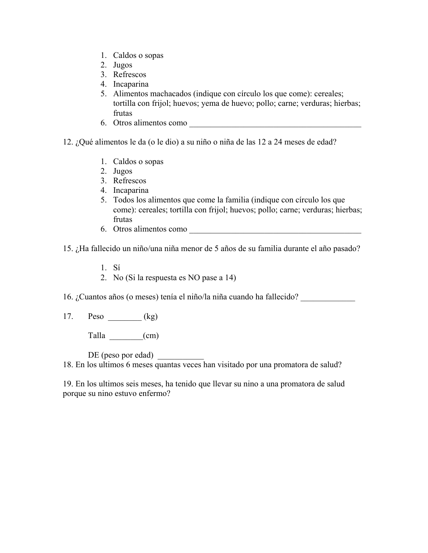- 1. Caldos o sopas
- 2. Jugos
- 3. Refrescos
- 4. Incaparina
- 5. Alimentos machacados (indique con círculo los que come): cereales; tortilla con frijol; huevos; yema de huevo; pollo; carne; verduras; hierbas; frutas
- 6. Otros alimentos como \_\_\_\_\_\_\_\_\_\_\_\_\_\_\_\_\_\_\_\_\_\_\_\_\_\_\_\_\_\_\_\_\_\_\_\_\_\_\_\_\_
- 12. ¿Qué alimentos le da (o le dio) a su niño o niña de las 12 a 24 meses de edad?
	- 1. Caldos o sopas
	- 2. Jugos
	- 3. Refrescos
	- 4. Incaparina
	- 5. Todos los alimentos que come la familia (indique con círculo los que come): cereales; tortilla con frijol; huevos; pollo; carne; verduras; hierbas; frutas
	- 6. Otros alimentos como

15. ¿Ha fallecido un niño/una niña menor de 5 años de su familia durante el año pasado?

- 1. Sí
- 2. No (Si la respuesta es NO pase a 14)

16. ¿Cuantos años (o meses) tenía el niño/la niña cuando ha fallecido? \_\_\_\_\_\_\_\_\_\_\_\_\_

17. Peso (kg)

Talla  $(cm)$ 

DE (peso por edad)

18. En los ultimos 6 meses quantas veces han visitado por una promatora de salud?

19. En los ultimos seis meses, ha tenido que llevar su nino a una promatora de salud porque su nino estuvo enfermo?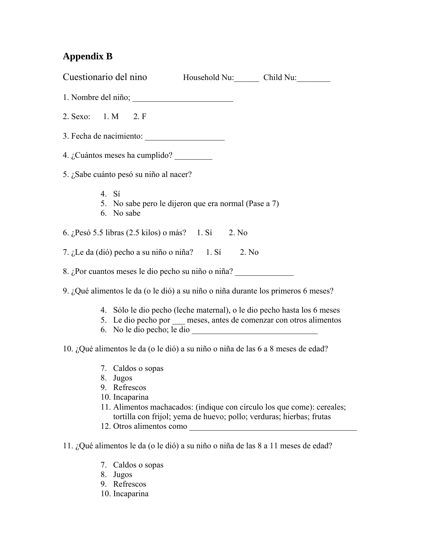## **Appendix B**

| Cuestionario del nino Household Nu: Child Nu:                                                                                                                                                                                                                                                                                                                                                         |  |  |  |  |
|-------------------------------------------------------------------------------------------------------------------------------------------------------------------------------------------------------------------------------------------------------------------------------------------------------------------------------------------------------------------------------------------------------|--|--|--|--|
|                                                                                                                                                                                                                                                                                                                                                                                                       |  |  |  |  |
| 2. Sexo: 1. M 2. F                                                                                                                                                                                                                                                                                                                                                                                    |  |  |  |  |
| 3. Fecha de nacimiento:                                                                                                                                                                                                                                                                                                                                                                               |  |  |  |  |
| 4. ¿Cuántos meses ha cumplido? $\frac{1}{\sqrt{1-\frac{1}{\sqrt{1-\frac{1}{\sqrt{1-\frac{1}{\sqrt{1-\frac{1}{\sqrt{1-\frac{1}{\sqrt{1-\frac{1}{\sqrt{1-\frac{1}{\sqrt{1-\frac{1}{\sqrt{1-\frac{1}{\sqrt{1-\frac{1}{\sqrt{1-\frac{1}{\sqrt{1-\frac{1}{\sqrt{1-\frac{1}{\sqrt{1-\frac{1}{\sqrt{1-\frac{1}{\sqrt{1-\frac{1}{\sqrt{1-\frac{1}{\sqrt{1-\frac{1}{\sqrt{1-\frac{1}{\sqrt{1-\frac{1}{\sqrt{1$ |  |  |  |  |
| 5. ¿Sabe cuánto pesó su niño al nacer?                                                                                                                                                                                                                                                                                                                                                                |  |  |  |  |
| 4. Sí<br>5. No sabe pero le dijeron que era normal (Pase a 7)<br>6. No sabe                                                                                                                                                                                                                                                                                                                           |  |  |  |  |
| 6. ¿Pesó 5.5 libras (2.5 kilos) o más? 1. Sí 2. No                                                                                                                                                                                                                                                                                                                                                    |  |  |  |  |
| 7. ¿Le da (dió) pecho a su niño o niña? 1. Sí 2. No                                                                                                                                                                                                                                                                                                                                                   |  |  |  |  |
| 8. ¿Por cuantos meses le dio pecho su niño o niña?                                                                                                                                                                                                                                                                                                                                                    |  |  |  |  |
| 9. ¿Qué alimentos le da (o le dió) a su niño o niña durante los primeros 6 meses?                                                                                                                                                                                                                                                                                                                     |  |  |  |  |
| 4. Sólo le dio pecho (leche maternal), o le dio pecho hasta los 6 meses<br>5. Le dio pecho por meses, antes de comenzar con otros alimentos                                                                                                                                                                                                                                                           |  |  |  |  |
| 10. ¿Qué alimentos le da (o le dió) a su niño o niña de las 6 a 8 meses de edad?                                                                                                                                                                                                                                                                                                                      |  |  |  |  |
| 7. Caldos o sopas<br>8. Jugos<br>9. Refrescos<br>10. Incaparina<br>11. Alimentos machacados: (indique con círculo los que come): cereales;<br>tortilla con frijol; yema de huevo; pollo; verduras; hierbas; frutas<br>12. Otros alimentos como                                                                                                                                                        |  |  |  |  |
| 11. ¿Qué alimentos le da (o le dió) a su niño o niña de las 8 a 11 meses de edad?                                                                                                                                                                                                                                                                                                                     |  |  |  |  |
| Caldos o sopas<br>7.<br>Jugos<br>8.<br>9. Refrescos<br>10. Incaparina                                                                                                                                                                                                                                                                                                                                 |  |  |  |  |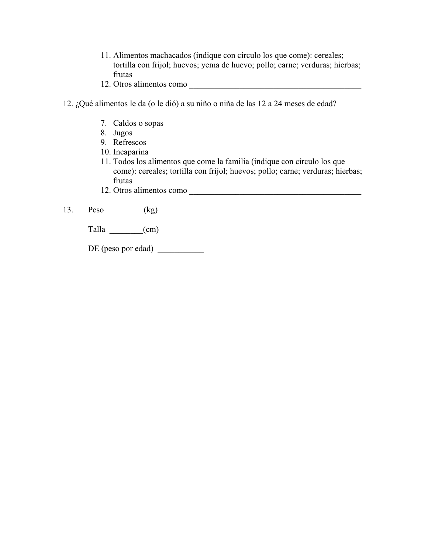- 11. Alimentos machacados (indique con círculo los que come): cereales; tortilla con frijol; huevos; yema de huevo; pollo; carne; verduras; hierbas; frutas
- 12. Otros alimentos como **witch and alimentos** como
- 12. ¿Qué alimentos le da (o le dió) a su niño o niña de las 12 a 24 meses de edad?
	- 7. Caldos o sopas
	- 8. Jugos
	- 9. Refrescos
	- 10. Incaparina
	- 11. Todos los alimentos que come la familia (indique con círculo los que come): cereales; tortilla con frijol; huevos; pollo; carne; verduras; hierbas; frutas
	- 12. Otros alimentos como \_\_\_\_\_\_\_\_\_\_\_\_\_\_\_\_\_\_\_\_\_\_\_\_\_\_\_\_\_\_\_\_\_\_\_\_\_\_\_\_\_
- 13. Peso \_\_\_\_\_\_\_\_ (kg)

Talla \_\_\_\_\_\_\_\_(cm)

DE (peso por edad)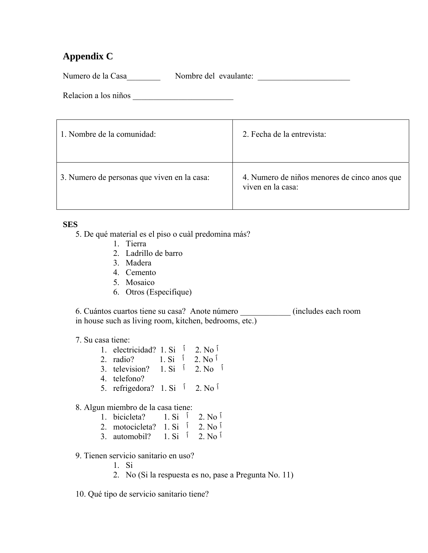## **Appendix C**

Numero de la Casa\_\_\_\_\_\_\_\_\_\_\_ Nombre del evaulante: \_\_\_\_\_\_\_\_\_\_\_\_\_\_\_\_\_\_\_\_\_\_\_\_\_\_\_\_\_

Relacion a los niños \_\_\_\_\_\_\_\_\_\_\_\_\_\_\_\_\_\_\_\_\_\_\_\_

| 1. Nombre de la comunidad:                  | 2. Fecha de la entrevista:                                        |
|---------------------------------------------|-------------------------------------------------------------------|
| 3. Numero de personas que viven en la casa: | 4. Numero de niños menores de cinco anos que<br>viven en la casa: |

## **SES**

5. De qué material es el piso o cuàl predomina más?

- 1. Tierra
- 2. Ladrillo de barro
- 3. Madera
- 4. Cemento
- 5. Mosaico
- 6. Otros (Especifique)

6. Cuántos cuartos tiene su casa? Anote número \_\_\_\_\_\_\_\_\_\_\_\_ (includes each room in house such as living room, kitchen, bedrooms, etc.)

## 7. Su casa tiene:

- 1. electricidad? 1. Si  $\int$  2. No  $\int$
- 2. radio? 1. Si <sup>1</sup> 2. No <sup>1</sup>
- 3. television? 1. Si ٱ 2. No ٱ
- 4. telefono?
- 5. refrigedora? 1. Si ٱ 2. No ٱ

## 8. Algun miembro de la casa tiene:

| 1. bicicleta? |                 | $1. \text{Si}$ $\sqrt{2}$ , $\text{No}$ $\sqrt{2}$ |
|---------------|-----------------|----------------------------------------------------|
|               | التحديد المتحدد |                                                    |

- 2. motocicleta?  $1. Si$   $\overline{1}$  2. No  $\overline{1}$ 3. automobil?  $1. Si$   $\dot{1}$   $2. No$
- 9. Tienen servicio sanitario en uso?
	- 1. Si
	- 2. No (Si la respuesta es no, pase a Pregunta No. 11)
- 10. Qué tipo de servicio sanitario tiene?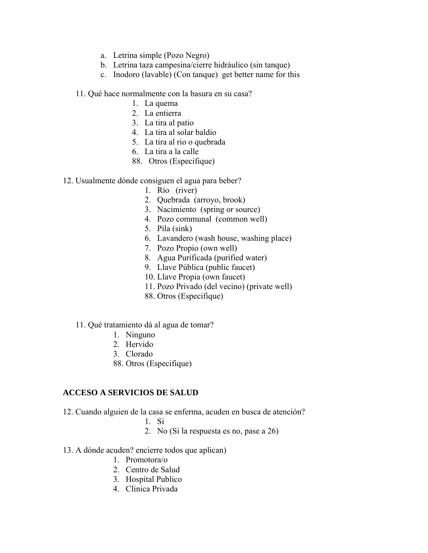- a. Letrina simple (Pozo Negro)
- b. Letrina taza campesina/cierre hidráulico (sin tanque)
- c. Inodoro (lavable) (Con tanque) get better name for this

11. Qué hace normalmente con la basura en su casa?

- 1. La quema
- 2. La entierra
- 3. La tira al patio
- 4. La tira al solar baldio
- 5. La tira al rio o quebrada
- 6. La tira a la calle
- 88. Otros (Especifique)
- 12. Usualmente dónde consiguen el agua para beber?
	- 1. Río (river)
	- 2. Quebrada (arroyo, brook)
	- 3. Nacimiento (spring or source)
	- 4. Pozo communal (common well)
	- 5. Pila (sink)
	- 6. Lavandero (wash house, washing place)
	- 7. Pozo Propio (own well)
	- 8. Agua Purificada (purified water)
	- 9. Llave Pública (public faucet)
	- 10. Llave Propia (own faucet)
	- 11. Pozo Privado (del vecino) (private well)
	- 88. Otros (Especifique)
	- 11. Qué tratamiento dá al agua de tomar?
		- 1. Ninguno
		- 2. Hervido
		- 3. Clorado
		- 88. Otros (Especifique)

### **ACCESO A SERVICIOS DE SALUD**

- 12. Cuando alguien de la casa se enferma, acuden en busca de atención?
	- 1. Si
	- 2. No (Si la respuesta es no, pase a 26)
- 13. A dónde acuden? encierre todos que aplican)
	- 1. Promotora/o
	- 2. Centro de Salud
	- 3. Hospital Publico
	- 4. Clinica Privada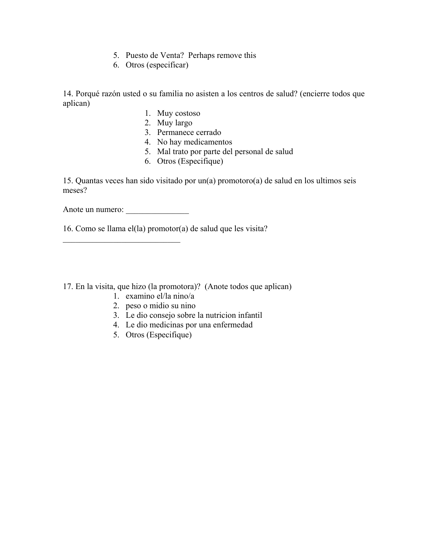- 5. Puesto de Venta? Perhaps remove this
- 6. Otros (especificar)

14. Porqué razón usted o su familia no asisten a los centros de salud? (encierre todos que aplican)

- 1. Muy costoso
- 2. Muy largo
- 3. Permanece cerrado
- 4. No hay medicamentos
- 5. Mal trato por parte del personal de salud
- 6. Otros (Especifique)

15. Quantas veces han sido visitado por un(a) promotoro(a) de salud en los ultimos seis meses?

Anote un numero:

 $\mathcal{L}_\text{max}$ 

16. Como se llama el(la) promotor(a) de salud que les visita?

- 17. En la visita, que hizo (la promotora)? (Anote todos que aplican)
	- 1. examino el/la nino/a
	- 2. peso o midio su nino
	- 3. Le dio consejo sobre la nutricion infantil
	- 4. Le dio medicinas por una enfermedad
	- 5. Otros (Especifique)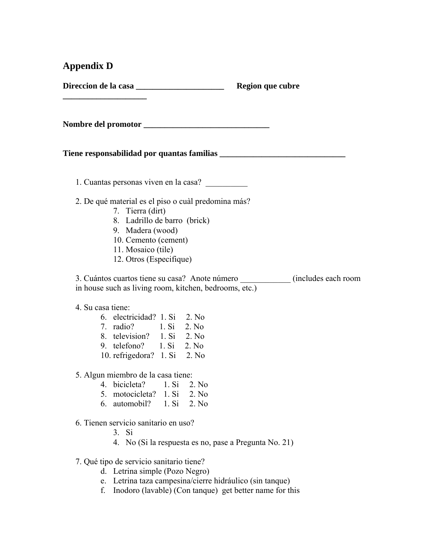## **Appendix D**

**\_\_\_\_\_\_\_\_\_\_\_\_\_\_\_\_\_\_\_\_** 

**Direccion de la casa casa contra de la casa de la casa de la casa de la casa de la casa de la casa de la casa** 

**Nombre del promotor \_\_\_\_\_\_\_\_\_\_\_\_\_\_\_\_\_\_\_\_\_\_\_\_\_\_\_\_\_\_** 

### Tiene responsabilidad por quantas familias *\_\_\_\_\_\_\_\_\_\_\_\_\_\_\_\_\_\_\_\_\_\_\_\_\_\_\_\_\_\_\_\_\_\_*

1. Cuantas personas viven en la casa? \_\_\_\_\_\_\_\_\_\_

- 2. De qué material es el piso o cuàl predomina más?
	- 7. Tierra (dirt)
	- 8. Ladrillo de barro (brick)
	- 9. Madera (wood)
	- 10. Cemento (cement)
	- 11. Mosaico (tile)
	- 12. Otros (Especifique)

3. Cuántos cuartos tiene su casa? Anote número \_\_\_\_\_\_\_\_\_\_\_\_ (includes each room in house such as living room, kitchen, bedrooms, etc.)

### 4. Su casa tiene:

| 6. electricidad? 1. Si 2. No |       |       |
|------------------------------|-------|-------|
| 7. radio?                    | 1. Si | 2. No |
| 8. television?               | 1 Si  | 2. No |
| 9. telefono?                 | 1 Si  | 2. No |
| 10. refrigedora? 1. Si 2. No |       |       |

5. Algun miembro de la casa tiene:

- 4. bicicleta? 1. Si 2. No
- 5. motocicleta? 1. Si 2. No
- 6. automobil? 1. Si 2. No
- 6. Tienen servicio sanitario en uso?
	- 3. Si
	- 4. No (Si la respuesta es no, pase a Pregunta No. 21)
- 7. Qué tipo de servicio sanitario tiene?
	- d. Letrina simple (Pozo Negro)
	- e. Letrina taza campesina/cierre hidráulico (sin tanque)
	- f. Inodoro (lavable) (Con tanque) get better name for this